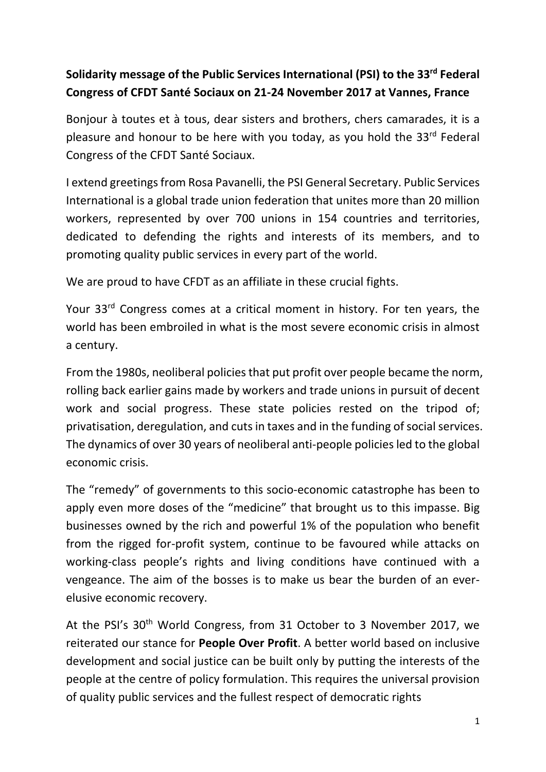## **Solidarity message of the Public Services International (PSI) to the 33rd Federal Congress of CFDT Santé Sociaux on 21-24 November 2017 at Vannes, France**

Bonjour à toutes et à tous, dear sisters and brothers, chers camarades, it is a pleasure and honour to be here with you today, as you hold the 33<sup>rd</sup> Federal Congress of the CFDT Santé Sociaux.

I extend greetings from Rosa Pavanelli, the PSI General Secretary. Public Services International is a global trade union federation that unites more than 20 million workers, represented by over 700 unions in 154 countries and territories, dedicated to defending the rights and interests of its members, and to promoting quality public services in every part of the world.

We are proud to have CFDT as an affiliate in these crucial fights.

Your 33rd Congress comes at a critical moment in history. For ten years, the world has been embroiled in what is the most severe economic crisis in almost a century.

From the 1980s, neoliberal policies that put profit over people became the norm, rolling back earlier gains made by workers and trade unions in pursuit of decent work and social progress. These state policies rested on the tripod of; privatisation, deregulation, and cuts in taxes and in the funding of social services. The dynamics of over 30 years of neoliberal anti-people policies led to the global economic crisis.

The "remedy" of governments to this socio-economic catastrophe has been to apply even more doses of the "medicine" that brought us to this impasse. Big businesses owned by the rich and powerful 1% of the population who benefit from the rigged for-profit system, continue to be favoured while attacks on working-class people's rights and living conditions have continued with a vengeance. The aim of the bosses is to make us bear the burden of an everelusive economic recovery.

At the PSI's 30th World Congress, from 31 October to 3 November 2017, we reiterated our stance for **People Over Profit**. A better world based on inclusive development and social justice can be built only by putting the interests of the people at the centre of policy formulation. This requires the universal provision of quality public services and the fullest respect of democratic rights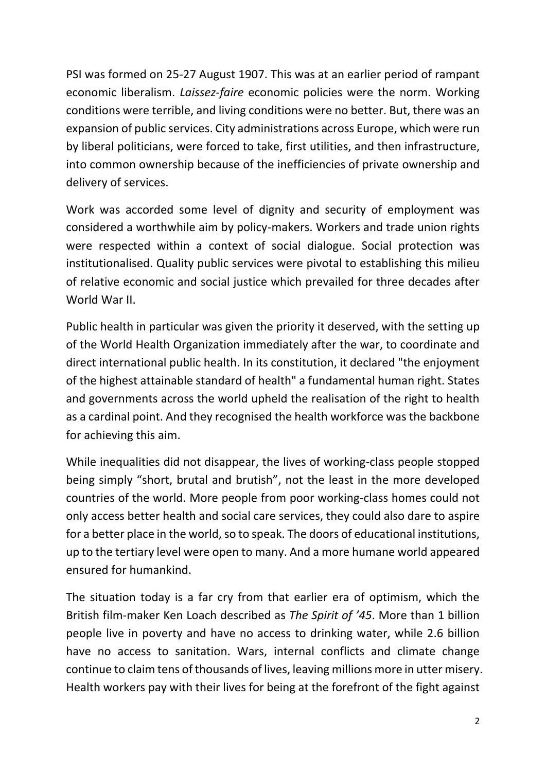PSI was formed on 25-27 August 1907. This was at an earlier period of rampant economic liberalism. *Laissez-faire* economic policies were the norm. Working conditions were terrible, and living conditions were no better. But, there was an expansion of public services. City administrations across Europe, which were run by liberal politicians, were forced to take, first utilities, and then infrastructure, into common ownership because of the inefficiencies of private ownership and delivery of services.

Work was accorded some level of dignity and security of employment was considered a worthwhile aim by policy-makers. Workers and trade union rights were respected within a context of social dialogue. Social protection was institutionalised. Quality public services were pivotal to establishing this milieu of relative economic and social justice which prevailed for three decades after World War II.

Public health in particular was given the priority it deserved, with the setting up of the World Health Organization immediately after the war, to coordinate and direct international public health. In its constitution, it declared "the enjoyment of the highest attainable standard of health" a fundamental human right. States and governments across the world upheld the realisation of the right to health as a cardinal point. And they recognised the health workforce was the backbone for achieving this aim.

While inequalities did not disappear, the lives of working-class people stopped being simply "short, brutal and brutish", not the least in the more developed countries of the world. More people from poor working-class homes could not only access better health and social care services, they could also dare to aspire for a better place in the world, so to speak. The doors of educational institutions, up to the tertiary level were open to many. And a more humane world appeared ensured for humankind.

The situation today is a far cry from that earlier era of optimism, which the British film-maker Ken Loach described as *The Spirit of '45*. More than 1 billion people live in poverty and have no access to drinking water, while 2.6 billion have no access to sanitation. Wars, internal conflicts and climate change continue to claim tens of thousands of lives, leaving millions more in utter misery. Health workers pay with their lives for being at the forefront of the fight against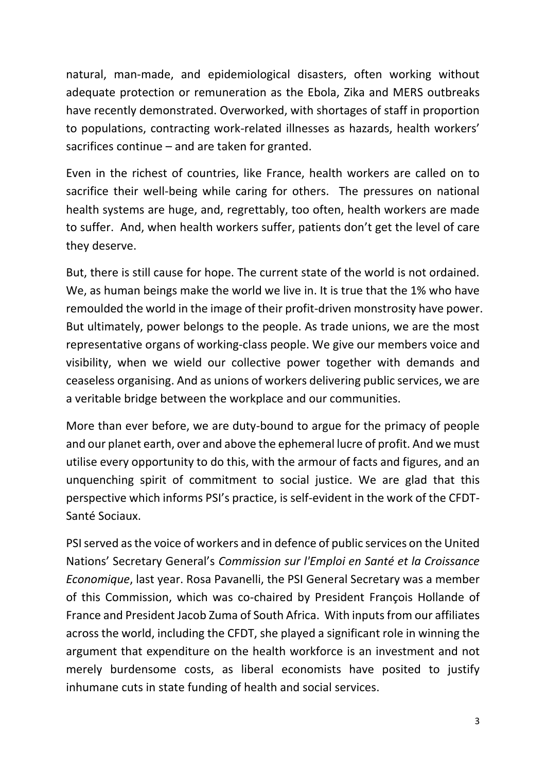natural, man-made, and epidemiological disasters, often working without adequate protection or remuneration as the Ebola, Zika and MERS outbreaks have recently demonstrated. Overworked, with shortages of staff in proportion to populations, contracting work-related illnesses as hazards, health workers' sacrifices continue – and are taken for granted.

Even in the richest of countries, like France, health workers are called on to sacrifice their well-being while caring for others. The pressures on national health systems are huge, and, regrettably, too often, health workers are made to suffer. And, when health workers suffer, patients don't get the level of care they deserve.

But, there is still cause for hope. The current state of the world is not ordained. We, as human beings make the world we live in. It is true that the 1% who have remoulded the world in the image of their profit-driven monstrosity have power. But ultimately, power belongs to the people. As trade unions, we are the most representative organs of working-class people. We give our members voice and visibility, when we wield our collective power together with demands and ceaseless organising. And as unions of workers delivering public services, we are a veritable bridge between the workplace and our communities.

More than ever before, we are duty-bound to argue for the primacy of people and our planet earth, over and above the ephemeral lucre of profit. And we must utilise every opportunity to do this, with the armour of facts and figures, and an unquenching spirit of commitment to social justice. We are glad that this perspective which informs PSI's practice, is self-evident in the work of the CFDT-Santé Sociaux.

PSI served as the voice of workers and in defence of public services on the United Nations' Secretary General's *Commission sur l'Emploi en Santé et la Croissance Economique*, last year. Rosa Pavanelli, the PSI General Secretary was a member of this Commission, which was co-chaired by President François Hollande of France and President Jacob Zuma of South Africa. With inputs from our affiliates across the world, including the CFDT, she played a significant role in winning the argument that expenditure on the health workforce is an investment and not merely burdensome costs, as liberal economists have posited to justify inhumane cuts in state funding of health and social services.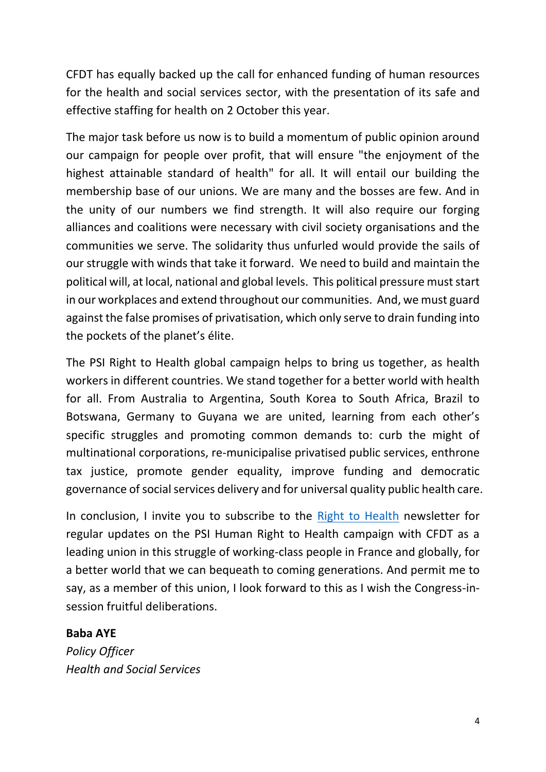CFDT has equally backed up the call for enhanced funding of human resources for the health and social services sector, with the presentation of its safe and effective staffing for health on 2 October this year.

The major task before us now is to build a momentum of public opinion around our campaign for people over profit, that will ensure "the enjoyment of the highest attainable standard of health" for all. It will entail our building the membership base of our unions. We are many and the bosses are few. And in the unity of our numbers we find strength. It will also require our forging alliances and coalitions were necessary with civil society organisations and the communities we serve. The solidarity thus unfurled would provide the sails of our struggle with winds that take it forward. We need to build and maintain the political will, at local, national and global levels. This political pressure must start in our workplaces and extend throughout our communities. And, we must guard against the false promises of privatisation, which only serve to drain funding into the pockets of the planet's élite.

The PSI Right to Health global campaign helps to bring us together, as health workers in different countries. We stand together for a better world with health for all. From Australia to Argentina, South Korea to South Africa, Brazil to Botswana, Germany to Guyana we are united, learning from each other's specific struggles and promoting common demands to: curb the might of multinational corporations, re-municipalise privatised public services, enthrone tax justice, promote gender equality, improve funding and democratic governance of social services delivery and for universal quality public health care.

In conclusion, I invite you to subscribe to the [Right to Health](http://www.world-psi.org/fr/droit-la-sante-numero-03-2017) newsletter for regular updates on the PSI Human Right to Health campaign with CFDT as a leading union in this struggle of working-class people in France and globally, for a better world that we can bequeath to coming generations. And permit me to say, as a member of this union, I look forward to this as I wish the Congress-insession fruitful deliberations.

## **Baba AYE**

*Policy Officer Health and Social Services*